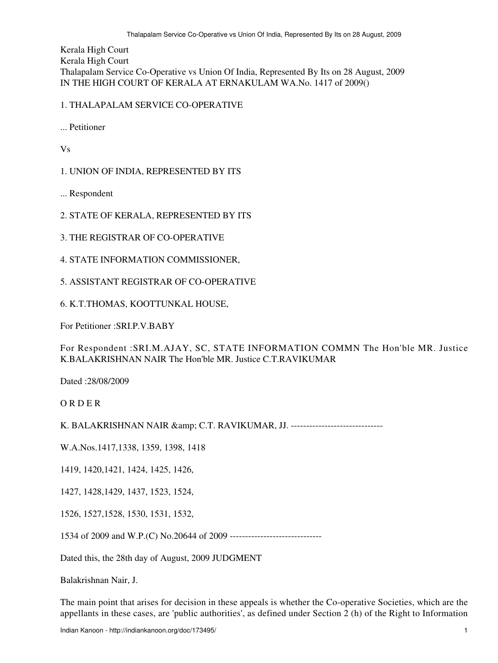Kerala High Court Kerala High Court Thalapalam Service Co-Operative vs Union Of India, Represented By Its on 28 August, 2009 IN THE HIGH COURT OF KERALA AT ERNAKULAM WA.No. 1417 of 2009()

## 1. THALAPALAM SERVICE CO-OPERATIVE

... Petitioner

Vs

1. UNION OF INDIA, REPRESENTED BY ITS

... Respondent

2. STATE OF KERALA, REPRESENTED BY ITS

3. THE REGISTRAR OF CO-OPERATIVE

4. STATE INFORMATION COMMISSIONER,

5. ASSISTANT REGISTRAR OF CO-OPERATIVE

6. K.T.THOMAS, KOOTTUNKAL HOUSE,

For Petitioner :SRI.P.V.BABY

For Respondent :SRI.M.AJAY, SC, STATE INFORMATION COMMN The Hon'ble MR. Justice K.BALAKRISHNAN NAIR The Hon'ble MR. Justice C.T.RAVIKUMAR

Dated :28/08/2009

O R D E R

K. BALAKRISHNAN NAIR & amp; C.T. RAVIKUMAR, JJ. --------------------------------

W.A.Nos.1417,1338, 1359, 1398, 1418

1419, 1420,1421, 1424, 1425, 1426,

1427, 1428,1429, 1437, 1523, 1524,

1526, 1527,1528, 1530, 1531, 1532,

1534 of 2009 and W.P.(C) No.20644 of 2009 ------------------------------

Dated this, the 28th day of August, 2009 JUDGMENT

Balakrishnan Nair, J.

The main point that arises for decision in these appeals is whether the Co-operative Societies, which are the appellants in these cases, are 'public authorities', as defined under Section 2 (h) of the Right to Information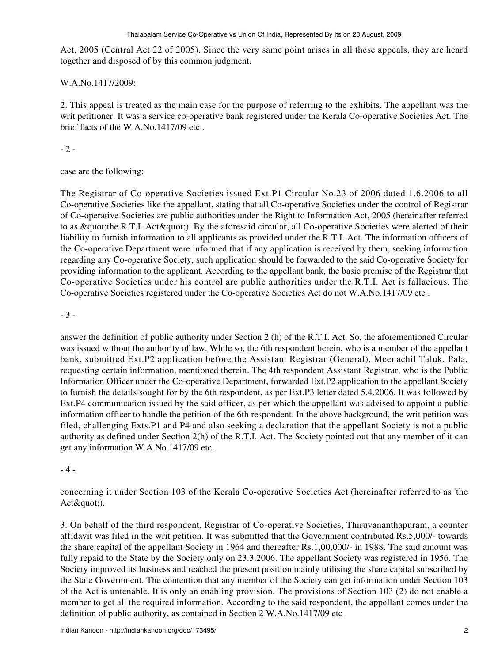Act, 2005 (Central Act 22 of 2005). Since the very same point arises in all these appeals, they are heard together and disposed of by this common judgment.

## W.A.No.1417/2009:

2. This appeal is treated as the main case for the purpose of referring to the exhibits. The appellant was the writ petitioner. It was a service co-operative bank registered under the Kerala Co-operative Societies Act. The brief facts of the W.A.No.1417/09 etc .

 $-2-$ 

case are the following:

The Registrar of Co-operative Societies issued Ext.P1 Circular No.23 of 2006 dated 1.6.2006 to all Co-operative Societies like the appellant, stating that all Co-operative Societies under the control of Registrar of Co-operative Societies are public authorities under the Right to Information Act, 2005 (hereinafter referred to as " the R.T.I. Act " ). By the aforesaid circular, all Co-operative Societies were alerted of their liability to furnish information to all applicants as provided under the R.T.I. Act. The information officers of the Co-operative Department were informed that if any application is received by them, seeking information regarding any Co-operative Society, such application should be forwarded to the said Co-operative Society for providing information to the applicant. According to the appellant bank, the basic premise of the Registrar that Co-operative Societies under his control are public authorities under the R.T.I. Act is fallacious. The Co-operative Societies registered under the Co-operative Societies Act do not W.A.No.1417/09 etc .

- 3 -

answer the definition of public authority under Section 2 (h) of the R.T.I. Act. So, the aforementioned Circular was issued without the authority of law. While so, the 6th respondent herein, who is a member of the appellant bank, submitted Ext.P2 application before the Assistant Registrar (General), Meenachil Taluk, Pala, requesting certain information, mentioned therein. The 4th respondent Assistant Registrar, who is the Public Information Officer under the Co-operative Department, forwarded Ext.P2 application to the appellant Society to furnish the details sought for by the 6th respondent, as per Ext.P3 letter dated 5.4.2006. It was followed by Ext.P4 communication issued by the said officer, as per which the appellant was advised to appoint a public information officer to handle the petition of the 6th respondent. In the above background, the writ petition was filed, challenging Exts.P1 and P4 and also seeking a declaration that the appellant Society is not a public authority as defined under Section 2(h) of the R.T.I. Act. The Society pointed out that any member of it can get any information W.A.No.1417/09 etc .

## - 4 -

concerning it under Section 103 of the Kerala Co-operative Societies Act (hereinafter referred to as 'the  $Act\&\text{quot};$ ).

3. On behalf of the third respondent, Registrar of Co-operative Societies, Thiruvananthapuram, a counter affidavit was filed in the writ petition. It was submitted that the Government contributed Rs.5,000/- towards the share capital of the appellant Society in 1964 and thereafter Rs.1,00,000/- in 1988. The said amount was fully repaid to the State by the Society only on 23.3.2006. The appellant Society was registered in 1956. The Society improved its business and reached the present position mainly utilising the share capital subscribed by the State Government. The contention that any member of the Society can get information under Section 103 of the Act is untenable. It is only an enabling provision. The provisions of Section 103 (2) do not enable a member to get all the required information. According to the said respondent, the appellant comes under the definition of public authority, as contained in Section 2 W.A.No.1417/09 etc .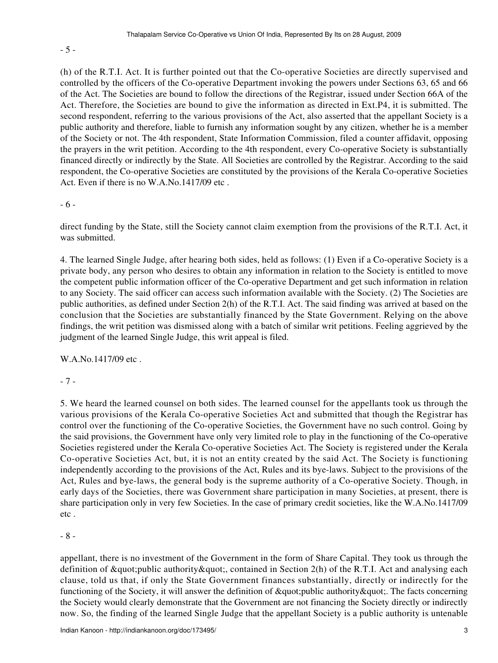- 5 -

(h) of the R.T.I. Act. It is further pointed out that the Co-operative Societies are directly supervised and controlled by the officers of the Co-operative Department invoking the powers under Sections 63, 65 and 66 of the Act. The Societies are bound to follow the directions of the Registrar, issued under Section 66A of the Act. Therefore, the Societies are bound to give the information as directed in Ext.P4, it is submitted. The second respondent, referring to the various provisions of the Act, also asserted that the appellant Society is a public authority and therefore, liable to furnish any information sought by any citizen, whether he is a member of the Society or not. The 4th respondent, State Information Commission, filed a counter affidavit, opposing the prayers in the writ petition. According to the 4th respondent, every Co-operative Society is substantially financed directly or indirectly by the State. All Societies are controlled by the Registrar. According to the said respondent, the Co-operative Societies are constituted by the provisions of the Kerala Co-operative Societies Act. Even if there is no W.A.No.1417/09 etc .

- 6 -

direct funding by the State, still the Society cannot claim exemption from the provisions of the R.T.I. Act, it was submitted.

4. The learned Single Judge, after hearing both sides, held as follows: (1) Even if a Co-operative Society is a private body, any person who desires to obtain any information in relation to the Society is entitled to move the competent public information officer of the Co-operative Department and get such information in relation to any Society. The said officer can access such information available with the Society. (2) The Societies are public authorities, as defined under Section 2(h) of the R.T.I. Act. The said finding was arrived at based on the conclusion that the Societies are substantially financed by the State Government. Relying on the above findings, the writ petition was dismissed along with a batch of similar writ petitions. Feeling aggrieved by the judgment of the learned Single Judge, this writ appeal is filed.

W.A.No.1417/09 etc .

- 7 -

5. We heard the learned counsel on both sides. The learned counsel for the appellants took us through the various provisions of the Kerala Co-operative Societies Act and submitted that though the Registrar has control over the functioning of the Co-operative Societies, the Government have no such control. Going by the said provisions, the Government have only very limited role to play in the functioning of the Co-operative Societies registered under the Kerala Co-operative Societies Act. The Society is registered under the Kerala Co-operative Societies Act, but, it is not an entity created by the said Act. The Society is functioning independently according to the provisions of the Act, Rules and its bye-laws. Subject to the provisions of the Act, Rules and bye-laws, the general body is the supreme authority of a Co-operative Society. Though, in early days of the Societies, there was Government share participation in many Societies, at present, there is share participation only in very few Societies. In the case of primary credit societies, like the W.A.No.1417/09 etc .

- 8 -

appellant, there is no investment of the Government in the form of Share Capital. They took us through the definition of  $\&$ quot; public authority $\&$ quot;, contained in Section 2(h) of the R.T.I. Act and analysing each clause, told us that, if only the State Government finances substantially, directly or indirectly for the functioning of the Society, it will answer the definition of " public authority ". The facts concerning the Society would clearly demonstrate that the Government are not financing the Society directly or indirectly now. So, the finding of the learned Single Judge that the appellant Society is a public authority is untenable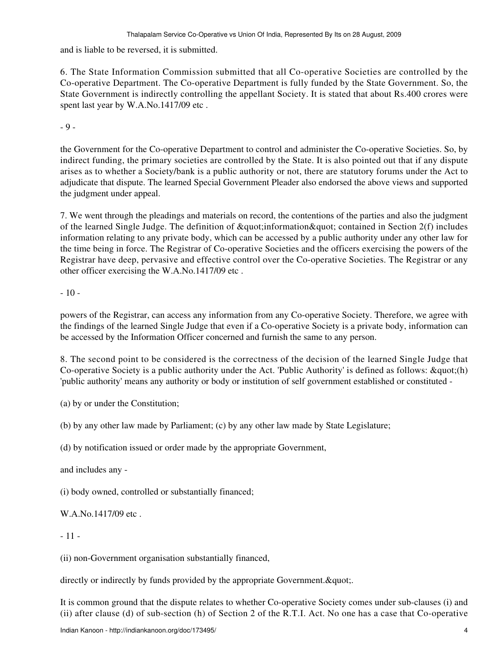and is liable to be reversed, it is submitted.

6. The State Information Commission submitted that all Co-operative Societies are controlled by the Co-operative Department. The Co-operative Department is fully funded by the State Government. So, the State Government is indirectly controlling the appellant Society. It is stated that about Rs.400 crores were spent last year by W.A.No.1417/09 etc .

- 9 -

the Government for the Co-operative Department to control and administer the Co-operative Societies. So, by indirect funding, the primary societies are controlled by the State. It is also pointed out that if any dispute arises as to whether a Society/bank is a public authority or not, there are statutory forums under the Act to adjudicate that dispute. The learned Special Government Pleader also endorsed the above views and supported the judgment under appeal.

7. We went through the pleadings and materials on record, the contentions of the parties and also the judgment of the learned Single Judge. The definition of  $\&$  quot; information  $\&$  quot; contained in Section 2(f) includes information relating to any private body, which can be accessed by a public authority under any other law for the time being in force. The Registrar of Co-operative Societies and the officers exercising the powers of the Registrar have deep, pervasive and effective control over the Co-operative Societies. The Registrar or any other officer exercising the W.A.No.1417/09 etc .

 $-10-$ 

powers of the Registrar, can access any information from any Co-operative Society. Therefore, we agree with the findings of the learned Single Judge that even if a Co-operative Society is a private body, information can be accessed by the Information Officer concerned and furnish the same to any person.

8. The second point to be considered is the correctness of the decision of the learned Single Judge that Co-operative Society is a public authority under the Act. 'Public Authority' is defined as follows:  $\&$ quot;(h) 'public authority' means any authority or body or institution of self government established or constituted -

(a) by or under the Constitution;

(b) by any other law made by Parliament; (c) by any other law made by State Legislature;

(d) by notification issued or order made by the appropriate Government,

and includes any -

(i) body owned, controlled or substantially financed;

W.A.No.1417/09 etc.

- 11 -

(ii) non-Government organisation substantially financed,

directly or indirectly by funds provided by the appropriate Government. & quot;.

It is common ground that the dispute relates to whether Co-operative Society comes under sub-clauses (i) and (ii) after clause (d) of sub-section (h) of Section 2 of the R.T.I. Act. No one has a case that Co-operative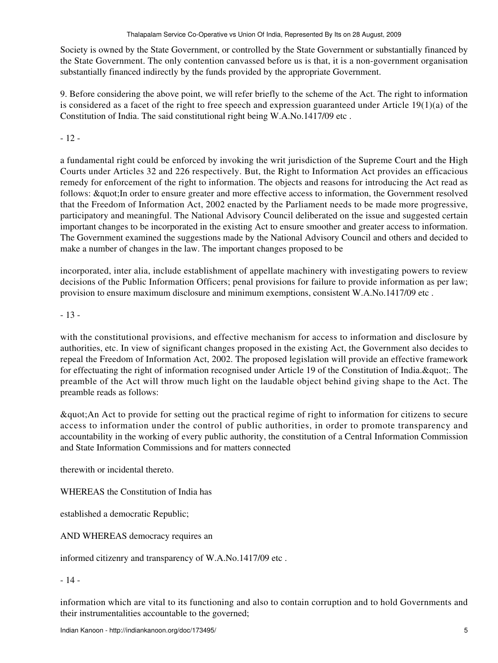Society is owned by the State Government, or controlled by the State Government or substantially financed by the State Government. The only contention canvassed before us is that, it is a non-government organisation substantially financed indirectly by the funds provided by the appropriate Government.

9. Before considering the above point, we will refer briefly to the scheme of the Act. The right to information is considered as a facet of the right to free speech and expression guaranteed under Article  $19(1)(a)$  of the Constitution of India. The said constitutional right being W.A.No.1417/09 etc .

- 12 -

a fundamental right could be enforced by invoking the writ jurisdiction of the Supreme Court and the High Courts under Articles 32 and 226 respectively. But, the Right to Information Act provides an efficacious remedy for enforcement of the right to information. The objects and reasons for introducing the Act read as follows: " In order to ensure greater and more effective access to information, the Government resolved that the Freedom of Information Act, 2002 enacted by the Parliament needs to be made more progressive, participatory and meaningful. The National Advisory Council deliberated on the issue and suggested certain important changes to be incorporated in the existing Act to ensure smoother and greater access to information. The Government examined the suggestions made by the National Advisory Council and others and decided to make a number of changes in the law. The important changes proposed to be

incorporated, inter alia, include establishment of appellate machinery with investigating powers to review decisions of the Public Information Officers; penal provisions for failure to provide information as per law; provision to ensure maximum disclosure and minimum exemptions, consistent W.A.No.1417/09 etc .

- 13 -

with the constitutional provisions, and effective mechanism for access to information and disclosure by authorities, etc. In view of significant changes proposed in the existing Act, the Government also decides to repeal the Freedom of Information Act, 2002. The proposed legislation will provide an effective framework for effectuating the right of information recognised under Article 19 of the Constitution of India. & quot;. The preamble of the Act will throw much light on the laudable object behind giving shape to the Act. The preamble reads as follows:

"An Act to provide for setting out the practical regime of right to information for citizens to secure access to information under the control of public authorities, in order to promote transparency and accountability in the working of every public authority, the constitution of a Central Information Commission and State Information Commissions and for matters connected

therewith or incidental thereto.

WHEREAS the Constitution of India has

established a democratic Republic;

AND WHEREAS democracy requires an

informed citizenry and transparency of W.A.No.1417/09 etc .

- 14 -

information which are vital to its functioning and also to contain corruption and to hold Governments and their instrumentalities accountable to the governed;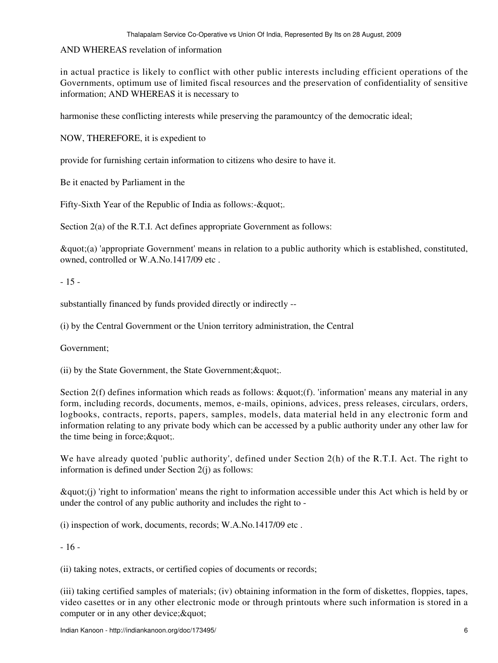## AND WHEREAS revelation of information

in actual practice is likely to conflict with other public interests including efficient operations of the Governments, optimum use of limited fiscal resources and the preservation of confidentiality of sensitive information; AND WHEREAS it is necessary to

harmonise these conflicting interests while preserving the paramountcy of the democratic ideal;

NOW, THEREFORE, it is expedient to

provide for furnishing certain information to citizens who desire to have it.

Be it enacted by Parliament in the

Fifty-Sixth Year of the Republic of India as follows:- $\&$ quot:

Section 2(a) of the R.T.I. Act defines appropriate Government as follows:

"(a) 'appropriate Government' means in relation to a public authority which is established, constituted, owned, controlled or W.A.No.1417/09 etc .

## - 15 -

substantially financed by funds provided directly or indirectly --

(i) by the Central Government or the Union territory administration, the Central

Government;

(ii) by the State Government, the State Government;  $\&$  quot;

Section  $2(f)$  defines information which reads as follows:  $\&$ quot; $(f)$ . 'information' means any material in any form, including records, documents, memos, e-mails, opinions, advices, press releases, circulars, orders, logbooks, contracts, reports, papers, samples, models, data material held in any electronic form and information relating to any private body which can be accessed by a public authority under any other law for the time being in force; $&$ quot;.

We have already quoted 'public authority', defined under Section 2(h) of the R.T.I. Act. The right to information is defined under Section 2(j) as follows:

 $\&$ quot;(j) 'right to information' means the right to information accessible under this Act which is held by or under the control of any public authority and includes the right to -

(i) inspection of work, documents, records; W.A.No.1417/09 etc .

- 16 -

(ii) taking notes, extracts, or certified copies of documents or records;

(iii) taking certified samples of materials; (iv) obtaining information in the form of diskettes, floppies, tapes, video casettes or in any other electronic mode or through printouts where such information is stored in a computer or in any other device;  $&$  quot;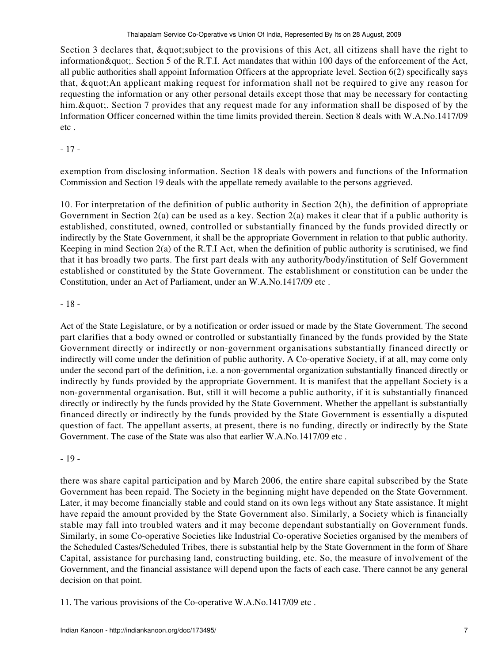Section 3 declares that, & quot; subject to the provisions of this Act, all citizens shall have the right to information & quot;. Section 5 of the R.T.I. Act mandates that within 100 days of the enforcement of the Act, all public authorities shall appoint Information Officers at the appropriate level. Section 6(2) specifically says that, " An applicant making request for information shall not be required to give any reason for requesting the information or any other personal details except those that may be necessary for contacting him. & quot;. Section 7 provides that any request made for any information shall be disposed of by the Information Officer concerned within the time limits provided therein. Section 8 deals with W.A.No.1417/09 etc .

- 17 -

exemption from disclosing information. Section 18 deals with powers and functions of the Information Commission and Section 19 deals with the appellate remedy available to the persons aggrieved.

10. For interpretation of the definition of public authority in Section 2(h), the definition of appropriate Government in Section 2(a) can be used as a key. Section 2(a) makes it clear that if a public authority is established, constituted, owned, controlled or substantially financed by the funds provided directly or indirectly by the State Government, it shall be the appropriate Government in relation to that public authority. Keeping in mind Section 2(a) of the R.T.I Act, when the definition of public authority is scrutinised, we find that it has broadly two parts. The first part deals with any authority/body/institution of Self Government established or constituted by the State Government. The establishment or constitution can be under the Constitution, under an Act of Parliament, under an W.A.No.1417/09 etc .

# - 18 -

Act of the State Legislature, or by a notification or order issued or made by the State Government. The second part clarifies that a body owned or controlled or substantially financed by the funds provided by the State Government directly or indirectly or non-government organisations substantially financed directly or indirectly will come under the definition of public authority. A Co-operative Society, if at all, may come only under the second part of the definition, i.e. a non-governmental organization substantially financed directly or indirectly by funds provided by the appropriate Government. It is manifest that the appellant Society is a non-governmental organisation. But, still it will become a public authority, if it is substantially financed directly or indirectly by the funds provided by the State Government. Whether the appellant is substantially financed directly or indirectly by the funds provided by the State Government is essentially a disputed question of fact. The appellant asserts, at present, there is no funding, directly or indirectly by the State Government. The case of the State was also that earlier W.A.No.1417/09 etc .

- 19 -

there was share capital participation and by March 2006, the entire share capital subscribed by the State Government has been repaid. The Society in the beginning might have depended on the State Government. Later, it may become financially stable and could stand on its own legs without any State assistance. It might have repaid the amount provided by the State Government also. Similarly, a Society which is financially stable may fall into troubled waters and it may become dependant substantially on Government funds. Similarly, in some Co-operative Societies like Industrial Co-operative Societies organised by the members of the Scheduled Castes/Scheduled Tribes, there is substantial help by the State Government in the form of Share Capital, assistance for purchasing land, constructing building, etc. So, the measure of involvement of the Government, and the financial assistance will depend upon the facts of each case. There cannot be any general decision on that point.

11. The various provisions of the Co-operative W.A.No.1417/09 etc .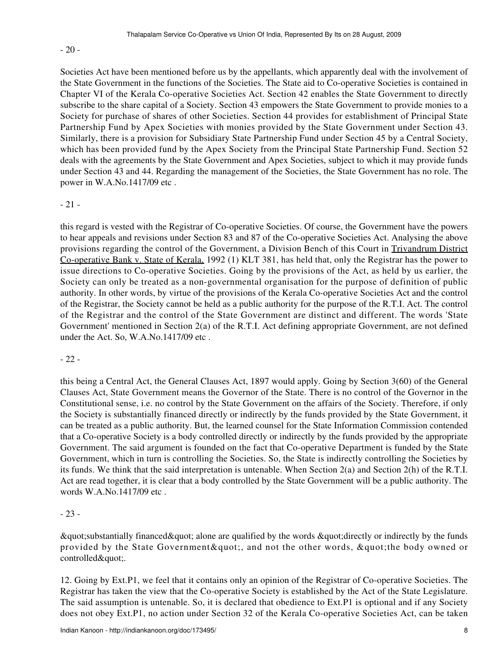## - 20 -

Societies Act have been mentioned before us by the appellants, which apparently deal with the involvement of the State Government in the functions of the Societies. The State aid to Co-operative Societies is contained in Chapter VI of the Kerala Co-operative Societies Act. Section 42 enables the State Government to directly subscribe to the share capital of a Society. Section 43 empowers the State Government to provide monies to a Society for purchase of shares of other Societies. Section 44 provides for establishment of Principal State Partnership Fund by Apex Societies with monies provided by the State Government under Section 43. Similarly, there is a provision for Subsidiary State Partnership Fund under Section 45 by a Central Society, which has been provided fund by the Apex Society from the Principal State Partnership Fund. Section 52 deals with the agreements by the State Government and Apex Societies, subject to which it may provide funds under Section 43 and 44. Regarding the management of the Societies, the State Government has no role. The power in W.A.No.1417/09 etc .

## - 21 -

this regard is vested with the Registrar of Co-operative Societies. Of course, the Government have the powers to hear appeals and revisions under Section 83 and 87 of the Co-operative Societies Act. Analysing the above provisions regarding the control of the Government, a Division Bench of this Court in Trivandrum District Co-operative Bank v. State of Kerala, 1992 (1) KLT 381, has held that, only the Registrar has the power to issue directions to Co-operative Societies. Going by the provisions of the Act, as held by us earlier, the Society can only be treated as a non-governmental organisation for the purpose of definition of public authority. In other words, by virtue of the provisions of the Kerala Co-operative Societies Act and the control of the Registrar, the Society cannot be held as a public authority for the purpose of the R.T.I. Act. The control of the Registrar and the control of the State Government are distinct and different. The words 'State Government' mentioned in Section 2(a) of the R.T.I. Act defining appropriate Government, are not defined under the Act. So, W.A.No.1417/09 etc .

# - 22 -

this being a Central Act, the General Clauses Act, 1897 would apply. Going by Section 3(60) of the General Clauses Act, State Government means the Governor of the State. There is no control of the Governor in the Constitutional sense, i.e. no control by the State Government on the affairs of the Society. Therefore, if only the Society is substantially financed directly or indirectly by the funds provided by the State Government, it can be treated as a public authority. But, the learned counsel for the State Information Commission contended that a Co-operative Society is a body controlled directly or indirectly by the funds provided by the appropriate Government. The said argument is founded on the fact that Co-operative Department is funded by the State Government, which in turn is controlling the Societies. So, the State is indirectly controlling the Societies by its funds. We think that the said interpretation is untenable. When Section 2(a) and Section 2(h) of the R.T.I. Act are read together, it is clear that a body controlled by the State Government will be a public authority. The words W.A.No.1417/09 etc .

## - 23 -

 $\&$ quot; substantially financed $\&$ quot; alone are qualified by the words  $\&$ quot; directly or indirectly by the funds provided by the State Government & quot;, and not the other words, & quot; the body owned or controlled".

12. Going by Ext.P1, we feel that it contains only an opinion of the Registrar of Co-operative Societies. The Registrar has taken the view that the Co-operative Society is established by the Act of the State Legislature. The said assumption is untenable. So, it is declared that obedience to Ext.P1 is optional and if any Society does not obey Ext.P1, no action under Section 32 of the Kerala Co-operative Societies Act, can be taken